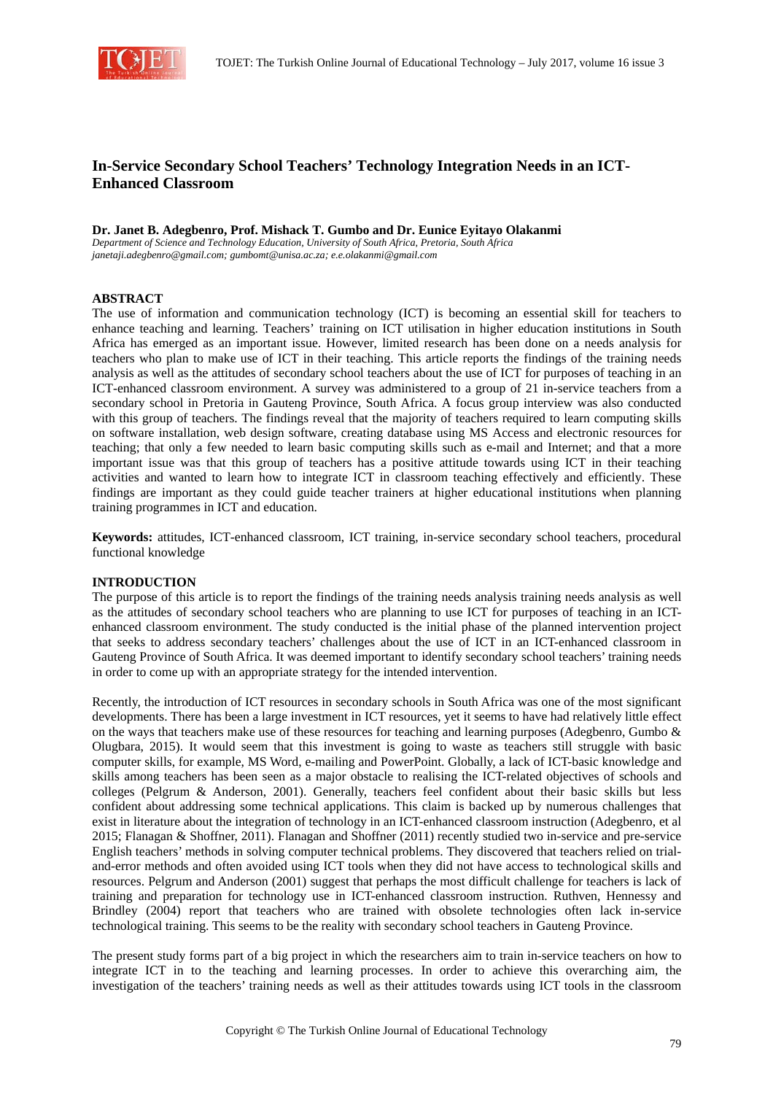

# **In-Service Secondary School Teachers' Technology Integration Needs in an ICT-Enhanced Classroom**

**Dr. Janet B. Adegbenro, Prof. Mishack T. Gumbo and Dr. Eunice Eyitayo Olakanmi** 

*Department of Science and Technology Education, University of South Africa, Pretoria, South Africa janetaji.adegbenro@gmail.com; gumbomt@unisa.ac.za; e.e.olakanmi@gmail.com* 

# **ABSTRACT**

The use of information and communication technology (ICT) is becoming an essential skill for teachers to enhance teaching and learning. Teachers' training on ICT utilisation in higher education institutions in South Africa has emerged as an important issue. However, limited research has been done on a needs analysis for teachers who plan to make use of ICT in their teaching. This article reports the findings of the training needs analysis as well as the attitudes of secondary school teachers about the use of ICT for purposes of teaching in an ICT-enhanced classroom environment. A survey was administered to a group of 21 in-service teachers from a secondary school in Pretoria in Gauteng Province, South Africa. A focus group interview was also conducted with this group of teachers. The findings reveal that the majority of teachers required to learn computing skills on software installation, web design software, creating database using MS Access and electronic resources for teaching; that only a few needed to learn basic computing skills such as e-mail and Internet; and that a more important issue was that this group of teachers has a positive attitude towards using ICT in their teaching activities and wanted to learn how to integrate ICT in classroom teaching effectively and efficiently. These findings are important as they could guide teacher trainers at higher educational institutions when planning training programmes in ICT and education.

**Keywords:** attitudes, ICT-enhanced classroom, ICT training, in-service secondary school teachers, procedural functional knowledge

# **INTRODUCTION**

The purpose of this article is to report the findings of the training needs analysis training needs analysis as well as the attitudes of secondary school teachers who are planning to use ICT for purposes of teaching in an ICTenhanced classroom environment. The study conducted is the initial phase of the planned intervention project that seeks to address secondary teachers' challenges about the use of ICT in an ICT-enhanced classroom in Gauteng Province of South Africa. It was deemed important to identify secondary school teachers' training needs in order to come up with an appropriate strategy for the intended intervention.

Recently, the introduction of ICT resources in secondary schools in South Africa was one of the most significant developments. There has been a large investment in ICT resources, yet it seems to have had relatively little effect on the ways that teachers make use of these resources for teaching and learning purposes (Adegbenro, Gumbo & Olugbara, 2015). It would seem that this investment is going to waste as teachers still struggle with basic computer skills, for example, MS Word, e-mailing and PowerPoint. Globally, a lack of ICT-basic knowledge and skills among teachers has been seen as a major obstacle to realising the ICT-related objectives of schools and colleges (Pelgrum & Anderson, 2001). Generally, teachers feel confident about their basic skills but less confident about addressing some technical applications. This claim is backed up by numerous challenges that exist in literature about the integration of technology in an ICT-enhanced classroom instruction (Adegbenro, et al 2015; Flanagan & Shoffner, 2011). Flanagan and Shoffner (2011) recently studied two in-service and pre-service English teachers' methods in solving computer technical problems. They discovered that teachers relied on trialand-error methods and often avoided using ICT tools when they did not have access to technological skills and resources. Pelgrum and Anderson (2001) suggest that perhaps the most difficult challenge for teachers is lack of training and preparation for technology use in ICT-enhanced classroom instruction. Ruthven, Hennessy and Brindley (2004) report that teachers who are trained with obsolete technologies often lack in-service technological training. This seems to be the reality with secondary school teachers in Gauteng Province.

The present study forms part of a big project in which the researchers aim to train in-service teachers on how to integrate ICT in to the teaching and learning processes. In order to achieve this overarching aim, the investigation of the teachers' training needs as well as their attitudes towards using ICT tools in the classroom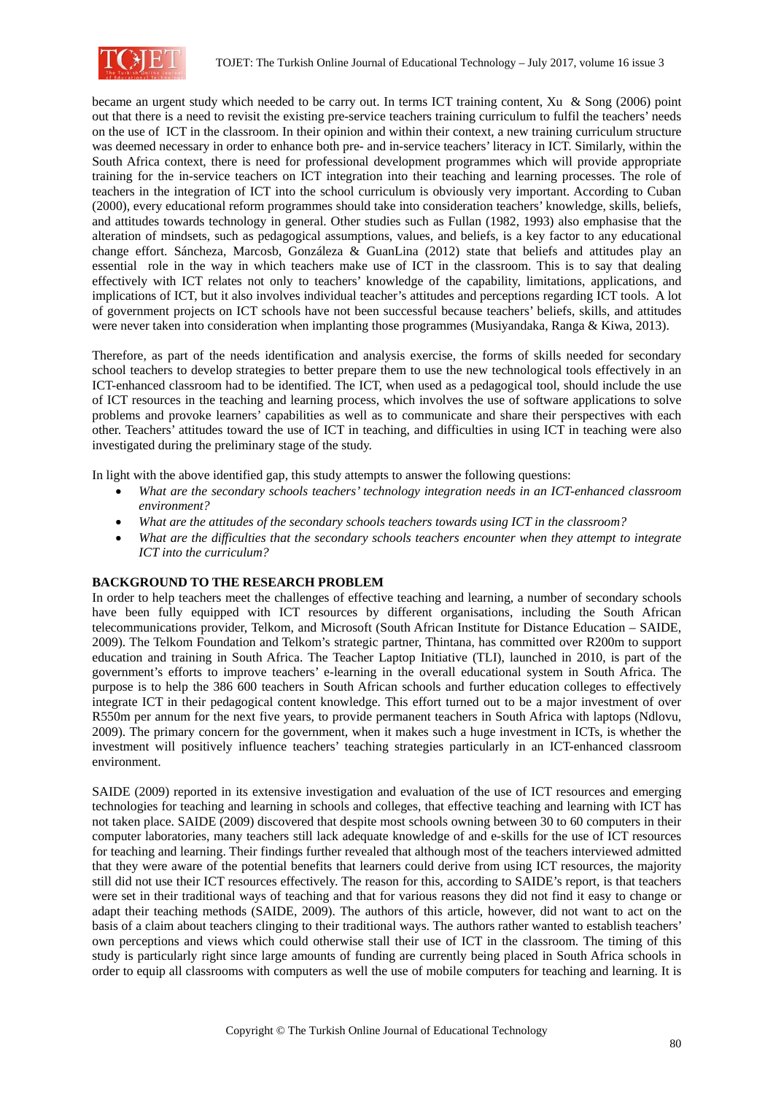

became an urgent study which needed to be carry out. In terms ICT training content, Xu & Song (2006) point out that there is a need to revisit the existing pre-service teachers training curriculum to fulfil the teachers' needs on the use of ICT in the classroom. In their opinion and within their context, a new training curriculum structure was deemed necessary in order to enhance both pre- and in-service teachers' literacy in ICT. Similarly, within the South Africa context, there is need for professional development programmes which will provide appropriate training for the in-service teachers on ICT integration into their teaching and learning processes. The role of teachers in the integration of ICT into the school curriculum is obviously very important. According to Cuban (2000), every educational reform programmes should take into consideration teachers' knowledge, skills, beliefs, and attitudes towards technology in general. Other studies such as Fullan (1982, 1993) also emphasise that the alteration of mindsets, such as pedagogical assumptions, values, and beliefs, is a key factor to any educational change effort. Sáncheza, Marcosb, Gonzáleza  $\&$  GuanLina (2012) state that beliefs and attitudes play an essential role in the way in which teachers make use of ICT in the classroom. This is to say that dealing effectively with ICT relates not only to teachers' knowledge of the capability, limitations, applications, and implications of ICT, but it also involves individual teacher's attitudes and perceptions regarding ICT tools. A lot of government projects on ICT schools have not been successful because teachers' beliefs, skills, and attitudes were never taken into consideration when implanting those programmes (Musiyandaka, Ranga & Kiwa, 2013).

Therefore, as part of the needs identification and analysis exercise, the forms of skills needed for secondary school teachers to develop strategies to better prepare them to use the new technological tools effectively in an ICT-enhanced classroom had to be identified. The ICT, when used as a pedagogical tool, should include the use of ICT resources in the teaching and learning process, which involves the use of software applications to solve problems and provoke learners' capabilities as well as to communicate and share their perspectives with each other. Teachers' attitudes toward the use of ICT in teaching, and difficulties in using ICT in teaching were also investigated during the preliminary stage of the study.

In light with the above identified gap, this study attempts to answer the following questions:

- *What are the secondary schools teachers' technology integration needs in an ICT-enhanced classroom environment?*
- *What are the attitudes of the secondary schools teachers towards using ICT in the classroom?*
- *What are the difficulties that the secondary schools teachers encounter when they attempt to integrate ICT into the curriculum?*

# **BACKGROUND TO THE RESEARCH PROBLEM**

In order to help teachers meet the challenges of effective teaching and learning, a number of secondary schools have been fully equipped with ICT resources by different organisations, including the South African telecommunications provider, Telkom, and Microsoft (South African Institute for Distance Education – SAIDE, 2009). The Telkom Foundation and Telkom's strategic partner, Thintana, has committed over R200m to support education and training in South Africa. The Teacher Laptop Initiative (TLI), launched in 2010, is part of the government's efforts to improve teachers' e-learning in the overall educational system in South Africa. The purpose is to help the 386 600 teachers in South African schools and further education colleges to effectively integrate ICT in their pedagogical content knowledge. This effort turned out to be a major investment of over R550m per annum for the next five years, to provide permanent teachers in South Africa with laptops (Ndlovu, 2009). The primary concern for the government, when it makes such a huge investment in ICTs, is whether the investment will positively influence teachers' teaching strategies particularly in an ICT-enhanced classroom environment.

SAIDE (2009) reported in its extensive investigation and evaluation of the use of ICT resources and emerging technologies for teaching and learning in schools and colleges, that effective teaching and learning with ICT has not taken place. SAIDE (2009) discovered that despite most schools owning between 30 to 60 computers in their computer laboratories, many teachers still lack adequate knowledge of and e-skills for the use of ICT resources for teaching and learning. Their findings further revealed that although most of the teachers interviewed admitted that they were aware of the potential benefits that learners could derive from using ICT resources, the majority still did not use their ICT resources effectively. The reason for this, according to SAIDE's report, is that teachers were set in their traditional ways of teaching and that for various reasons they did not find it easy to change or adapt their teaching methods (SAIDE, 2009). The authors of this article, however, did not want to act on the basis of a claim about teachers clinging to their traditional ways. The authors rather wanted to establish teachers' own perceptions and views which could otherwise stall their use of ICT in the classroom. The timing of this study is particularly right since large amounts of funding are currently being placed in South Africa schools in order to equip all classrooms with computers as well the use of mobile computers for teaching and learning. It is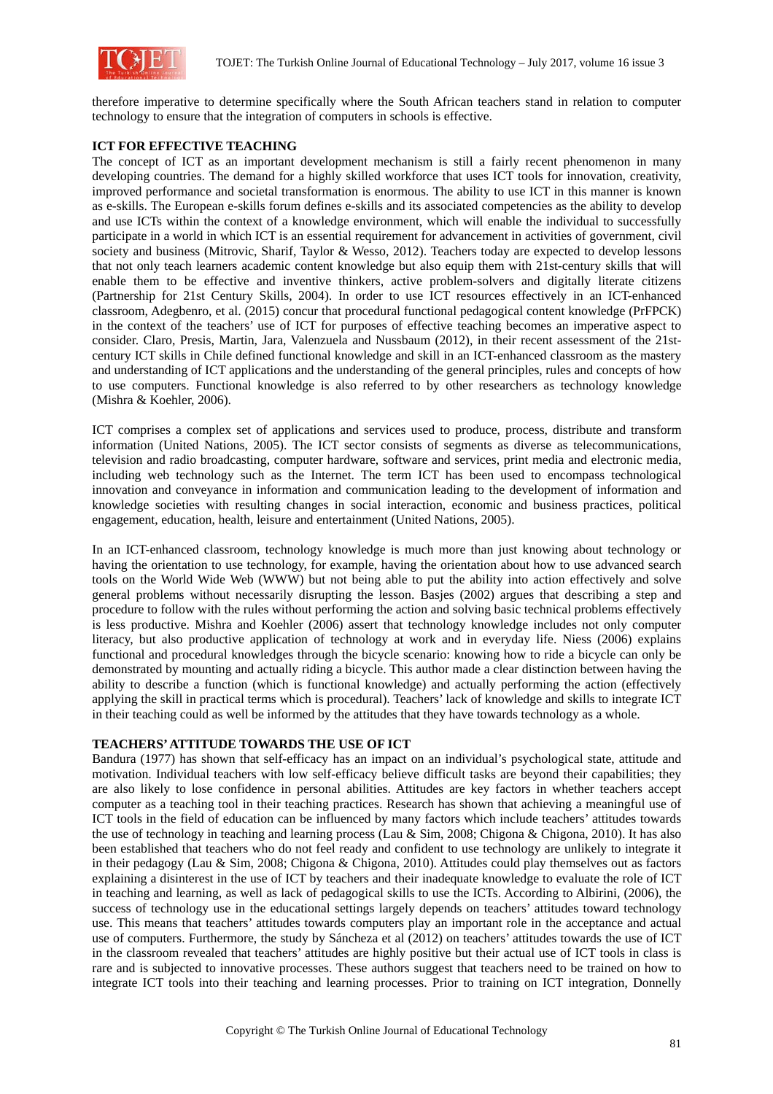

therefore imperative to determine specifically where the South African teachers stand in relation to computer technology to ensure that the integration of computers in schools is effective.

### **ICT FOR EFFECTIVE TEACHING**

The concept of ICT as an important development mechanism is still a fairly recent phenomenon in many developing countries. The demand for a highly skilled workforce that uses ICT tools for innovation, creativity, improved performance and societal transformation is enormous. The ability to use ICT in this manner is known as e-skills. The European e-skills forum defines e-skills and its associated competencies as the ability to develop and use ICTs within the context of a knowledge environment, which will enable the individual to successfully participate in a world in which ICT is an essential requirement for advancement in activities of government, civil society and business (Mitrovic, Sharif, Taylor & Wesso, 2012). Teachers today are expected to develop lessons that not only teach learners academic content knowledge but also equip them with 21st-century skills that will enable them to be effective and inventive thinkers, active problem-solvers and digitally literate citizens (Partnership for 21st Century Skills, 2004). In order to use ICT resources effectively in an ICT-enhanced classroom, Adegbenro, et al. (2015) concur that procedural functional pedagogical content knowledge (PrFPCK) in the context of the teachers' use of ICT for purposes of effective teaching becomes an imperative aspect to consider. Claro, Presis, Martin, Jara, Valenzuela and Nussbaum (2012), in their recent assessment of the 21stcentury ICT skills in Chile defined functional knowledge and skill in an ICT-enhanced classroom as the mastery and understanding of ICT applications and the understanding of the general principles, rules and concepts of how to use computers. Functional knowledge is also referred to by other researchers as technology knowledge (Mishra & Koehler, 2006).

ICT comprises a complex set of applications and services used to produce, process, distribute and transform information (United Nations, 2005). The ICT sector consists of segments as diverse as telecommunications, television and radio broadcasting, computer hardware, software and services, print media and electronic media, including web technology such as the Internet. The term ICT has been used to encompass technological innovation and conveyance in information and communication leading to the development of information and knowledge societies with resulting changes in social interaction, economic and business practices, political engagement, education, health, leisure and entertainment (United Nations, 2005).

In an ICT-enhanced classroom, technology knowledge is much more than just knowing about technology or having the orientation to use technology, for example, having the orientation about how to use advanced search tools on the World Wide Web (WWW) but not being able to put the ability into action effectively and solve general problems without necessarily disrupting the lesson. Basjes (2002) argues that describing a step and procedure to follow with the rules without performing the action and solving basic technical problems effectively is less productive. Mishra and Koehler (2006) assert that technology knowledge includes not only computer literacy, but also productive application of technology at work and in everyday life. Niess (2006) explains functional and procedural knowledges through the bicycle scenario: knowing how to ride a bicycle can only be demonstrated by mounting and actually riding a bicycle. This author made a clear distinction between having the ability to describe a function (which is functional knowledge) and actually performing the action (effectively applying the skill in practical terms which is procedural). Teachers' lack of knowledge and skills to integrate ICT in their teaching could as well be informed by the attitudes that they have towards technology as a whole.

#### **TEACHERS' ATTITUDE TOWARDS THE USE OF ICT**

Bandura (1977) has shown that self-efficacy has an impact on an individual's psychological state, attitude and motivation. Individual teachers with low self-efficacy believe difficult tasks are beyond their capabilities; they are also likely to lose confidence in personal abilities. Attitudes are key factors in whether teachers accept computer as a teaching tool in their teaching practices. Research has shown that achieving a meaningful use of ICT tools in the field of education can be influenced by many factors which include teachers' attitudes towards the use of technology in teaching and learning process (Lau & Sim, 2008; Chigona & Chigona, 2010). It has also been established that teachers who do not feel ready and confident to use technology are unlikely to integrate it in their pedagogy (Lau & Sim, 2008; Chigona & Chigona, 2010). Attitudes could play themselves out as factors explaining a disinterest in the use of ICT by teachers and their inadequate knowledge to evaluate the role of ICT in teaching and learning, as well as lack of pedagogical skills to use the ICTs. According to Albirini, (2006), the success of technology use in the educational settings largely depends on teachers' attitudes toward technology use. This means that teachers' attitudes towards computers play an important role in the acceptance and actual use of computers. Furthermore, the study by Sáncheza et al (2012) on teachers' attitudes towards the use of ICT in the classroom revealed that teachers' attitudes are highly positive but their actual use of ICT tools in class is rare and is subjected to innovative processes. These authors suggest that teachers need to be trained on how to integrate ICT tools into their teaching and learning processes. Prior to training on ICT integration, Donnelly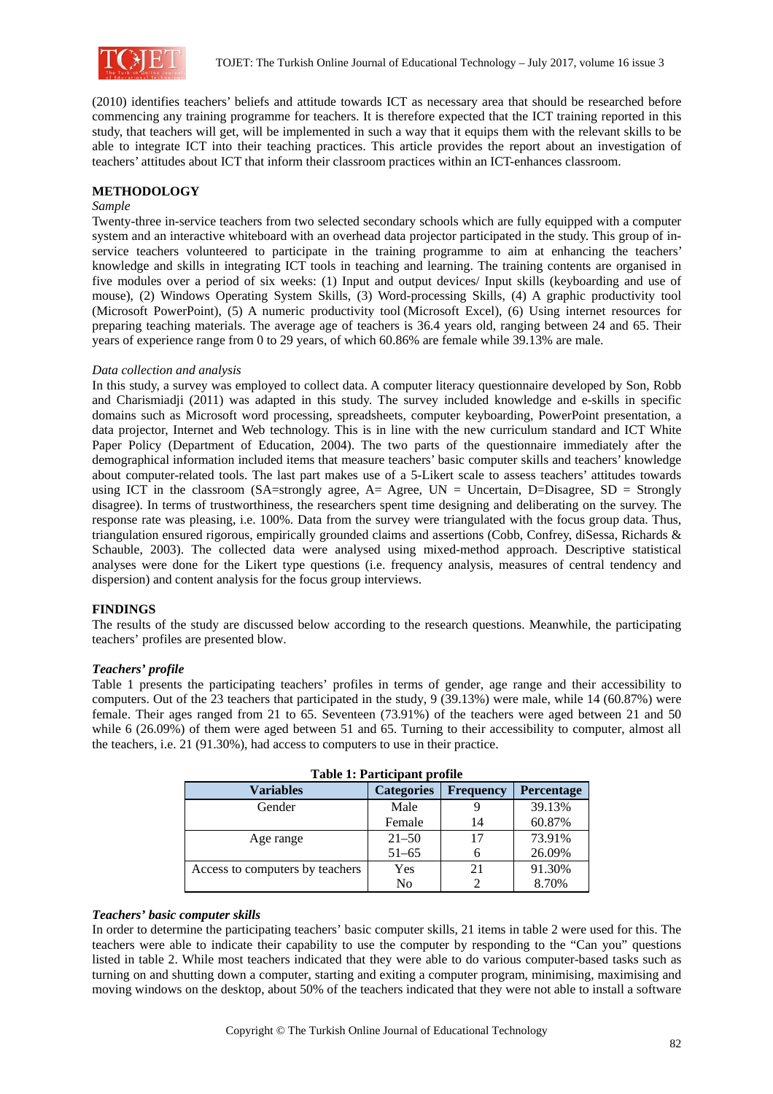

(2010) identifies teachers' beliefs and attitude towards ICT as necessary area that should be researched before commencing any training programme for teachers. It is therefore expected that the ICT training reported in this study, that teachers will get, will be implemented in such a way that it equips them with the relevant skills to be able to integrate ICT into their teaching practices. This article provides the report about an investigation of teachers' attitudes about ICT that inform their classroom practices within an ICT-enhances classroom.

# **METHODOLOGY**

#### *Sample*

Twenty-three in-service teachers from two selected secondary schools which are fully equipped with a computer system and an interactive whiteboard with an overhead data projector participated in the study. This group of inservice teachers volunteered to participate in the training programme to aim at enhancing the teachers' knowledge and skills in integrating ICT tools in teaching and learning. The training contents are organised in five modules over a period of six weeks: (1) Input and output devices/ Input skills (keyboarding and use of mouse), (2) Windows Operating System Skills, (3) Word-processing Skills, (4) A graphic productivity tool (Microsoft PowerPoint), (5) A numeric productivity tool (Microsoft Excel), (6) Using internet resources for preparing teaching materials. The average age of teachers is 36.4 years old, ranging between 24 and 65. Their years of experience range from 0 to 29 years, of which 60.86% are female while 39.13% are male.

### *Data collection and analysis*

In this study, a survey was employed to collect data. A computer literacy questionnaire developed by Son, Robb and Charismiadji (2011) was adapted in this study. The survey included knowledge and e-skills in specific domains such as Microsoft word processing, spreadsheets, computer keyboarding, PowerPoint presentation, a data projector, Internet and Web technology. This is in line with the new curriculum standard and ICT White Paper Policy (Department of Education, 2004). The two parts of the questionnaire immediately after the demographical information included items that measure teachers' basic computer skills and teachers' knowledge about computer-related tools. The last part makes use of a 5-Likert scale to assess teachers' attitudes towards using ICT in the classroom (SA=strongly agree, A= Agree, UN = Uncertain, D=Disagree, SD = Strongly disagree). In terms of trustworthiness, the researchers spent time designing and deliberating on the survey. The response rate was pleasing, i.e. 100%. Data from the survey were triangulated with the focus group data. Thus, triangulation ensured rigorous, empirically grounded claims and assertions (Cobb, Confrey, diSessa, Richards & Schauble, 2003). The collected data were analysed using mixed-method approach. Descriptive statistical analyses were done for the Likert type questions (i.e. frequency analysis, measures of central tendency and dispersion) and content analysis for the focus group interviews.

# **FINDINGS**

The results of the study are discussed below according to the research questions. Meanwhile, the participating teachers' profiles are presented blow.

#### *Teachers' profile*

Table 1 presents the participating teachers' profiles in terms of gender, age range and their accessibility to computers. Out of the 23 teachers that participated in the study, 9 (39.13%) were male, while 14 (60.87%) were female. Their ages ranged from 21 to 65. Seventeen (73.91%) of the teachers were aged between 21 and 50 while 6 (26.09%) of them were aged between 51 and 65. Turning to their accessibility to computer, almost all the teachers, i.e. 21 (91.30%), had access to computers to use in their practice.

| <b>Variables</b>                | <b>Categories</b> | <b>Frequency</b> | <b>Percentage</b> |  |
|---------------------------------|-------------------|------------------|-------------------|--|
| Gender                          | Male              |                  | 39.13%            |  |
|                                 |                   |                  |                   |  |
|                                 | Female            | 14               | 60.87%            |  |
| Age range                       | $21 - 50$         | 17               | 73.91%            |  |
|                                 | $51 - 65$         |                  | 26.09%            |  |
| Access to computers by teachers | Yes               | 21               | 91.30%            |  |
|                                 | No                |                  | 8.70%             |  |

|  | <b>Table 1: Participant profile</b> |  |
|--|-------------------------------------|--|
|--|-------------------------------------|--|

### *Teachers' basic computer skills*

In order to determine the participating teachers' basic computer skills, 21 items in table 2 were used for this. The teachers were able to indicate their capability to use the computer by responding to the "Can you" questions listed in table 2. While most teachers indicated that they were able to do various computer-based tasks such as turning on and shutting down a computer, starting and exiting a computer program, minimising, maximising and moving windows on the desktop, about 50% of the teachers indicated that they were not able to install a software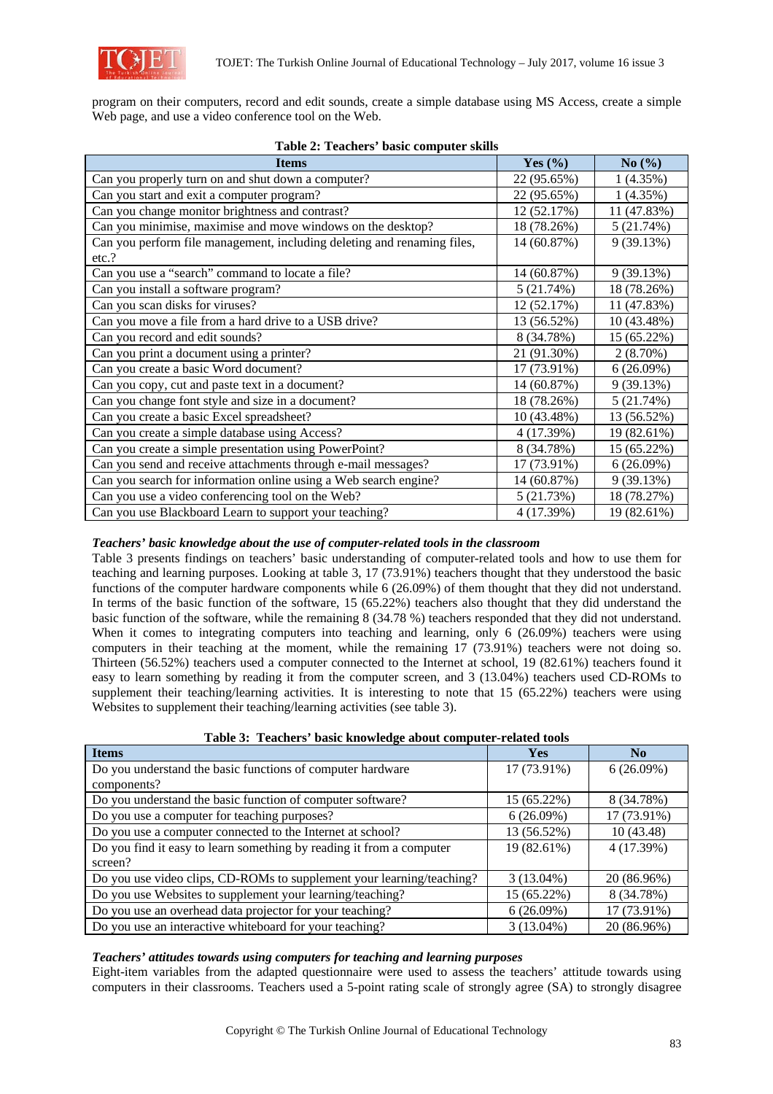

program on their computers, record and edit sounds, create a simple database using MS Access, create a simple Web page, and use a video conference tool on the Web.

| rabic $\mu$ , reachers basic computer skins<br><b>Items</b>             | Yes $(\% )$ | No(%)       |
|-------------------------------------------------------------------------|-------------|-------------|
| Can you properly turn on and shut down a computer?                      | 22 (95.65%) | 1(4.35%)    |
| Can you start and exit a computer program?                              | 22 (95.65%) | 1(4.35%)    |
| Can you change monitor brightness and contrast?                         | 12 (52.17%) | 11 (47.83%) |
| Can you minimise, maximise and move windows on the desktop?             | 18 (78.26%) | 5(21.74%)   |
| Can you perform file management, including deleting and renaming files, | 14 (60.87%) | 9(39.13%)   |
| etc.?                                                                   |             |             |
| Can you use a "search" command to locate a file?                        | 14 (60.87%) | 9(39.13%)   |
| Can you install a software program?                                     | 5(21.74%)   | 18 (78.26%) |
| Can you scan disks for viruses?                                         | 12 (52.17%) | 11 (47.83%) |
| Can you move a file from a hard drive to a USB drive?                   | 13 (56.52%) | 10 (43.48%) |
| Can you record and edit sounds?                                         | 8 (34.78%)  | 15 (65.22%) |
| Can you print a document using a printer?                               | 21 (91.30%) | $2(8.70\%)$ |
| Can you create a basic Word document?                                   | 17 (73.91%) | 6(26.09%)   |
| Can you copy, cut and paste text in a document?                         | 14 (60.87%) | 9(39.13%)   |
| Can you change font style and size in a document?                       | 18 (78.26%) | 5(21.74%)   |
| Can you create a basic Excel spreadsheet?                               | 10 (43.48%) | 13 (56.52%) |
| Can you create a simple database using Access?                          | 4 (17.39%)  | 19 (82.61%) |
| Can you create a simple presentation using PowerPoint?                  | 8 (34.78%)  | 15 (65.22%) |
| Can you send and receive attachments through e-mail messages?           | 17 (73.91%) | 6(26.09%)   |
| Can you search for information online using a Web search engine?        | 14 (60.87%) | 9(39.13%)   |
| Can you use a video conferencing tool on the Web?                       | 5(21.73%)   | 18 (78.27%) |
| Can you use Blackboard Learn to support your teaching?                  | 4 (17.39%)  | 19 (82.61%) |

### **Table 2: Teachers' basic computer skills**

# *Teachers' basic knowledge about the use of computer-related tools in the classroom*

Table 3 presents findings on teachers' basic understanding of computer-related tools and how to use them for teaching and learning purposes. Looking at table 3, 17 (73.91%) teachers thought that they understood the basic functions of the computer hardware components while 6 (26.09%) of them thought that they did not understand. In terms of the basic function of the software, 15 (65.22%) teachers also thought that they did understand the basic function of the software, while the remaining 8 (34.78 %) teachers responded that they did not understand. When it comes to integrating computers into teaching and learning, only 6 (26.09%) teachers were using computers in their teaching at the moment, while the remaining 17 (73.91%) teachers were not doing so. Thirteen (56.52%) teachers used a computer connected to the Internet at school, 19 (82.61%) teachers found it easy to learn something by reading it from the computer screen, and 3 (13.04%) teachers used CD-ROMs to supplement their teaching/learning activities. It is interesting to note that 15 (65.22%) teachers were using Websites to supplement their teaching/learning activities (see table 3).

| -                                                                     |              |                |
|-----------------------------------------------------------------------|--------------|----------------|
| <b>Items</b>                                                          | <b>Yes</b>   | N <sub>0</sub> |
| Do you understand the basic functions of computer hardware            | 17 (73.91%)  | $6(26.09\%)$   |
| components?                                                           |              |                |
| Do you understand the basic function of computer software?            | 15 (65.22%)  | 8 (34.78%)     |
| Do you use a computer for teaching purposes?                          | 6(26.09%)    | 17 (73.91%)    |
| Do you use a computer connected to the Internet at school?            | 13 (56.52%)  | 10(43.48)      |
| Do you find it easy to learn something by reading it from a computer  | 19 (82.61%)  | 4 (17.39%)     |
| screen?                                                               |              |                |
| Do you use video clips, CD-ROMs to supplement your learning/teaching? | $3(13.04\%)$ | 20 (86.96%)    |
| Do you use Websites to supplement your learning/teaching?             | 15 (65.22%)  | 8 (34.78%)     |
| Do you use an overhead data projector for your teaching?              | $6(26.09\%)$ | 17 (73.91%)    |
| Do you use an interactive whiteboard for your teaching?               | $3(13.04\%)$ | 20 (86.96%)    |

|  | Table 3: Teachers' basic knowledge about computer-related tools |
|--|-----------------------------------------------------------------|
|  |                                                                 |

#### *Teachers' attitudes towards using computers for teaching and learning purposes*

Eight-item variables from the adapted questionnaire were used to assess the teachers' attitude towards using computers in their classrooms. Teachers used a 5-point rating scale of strongly agree (SA) to strongly disagree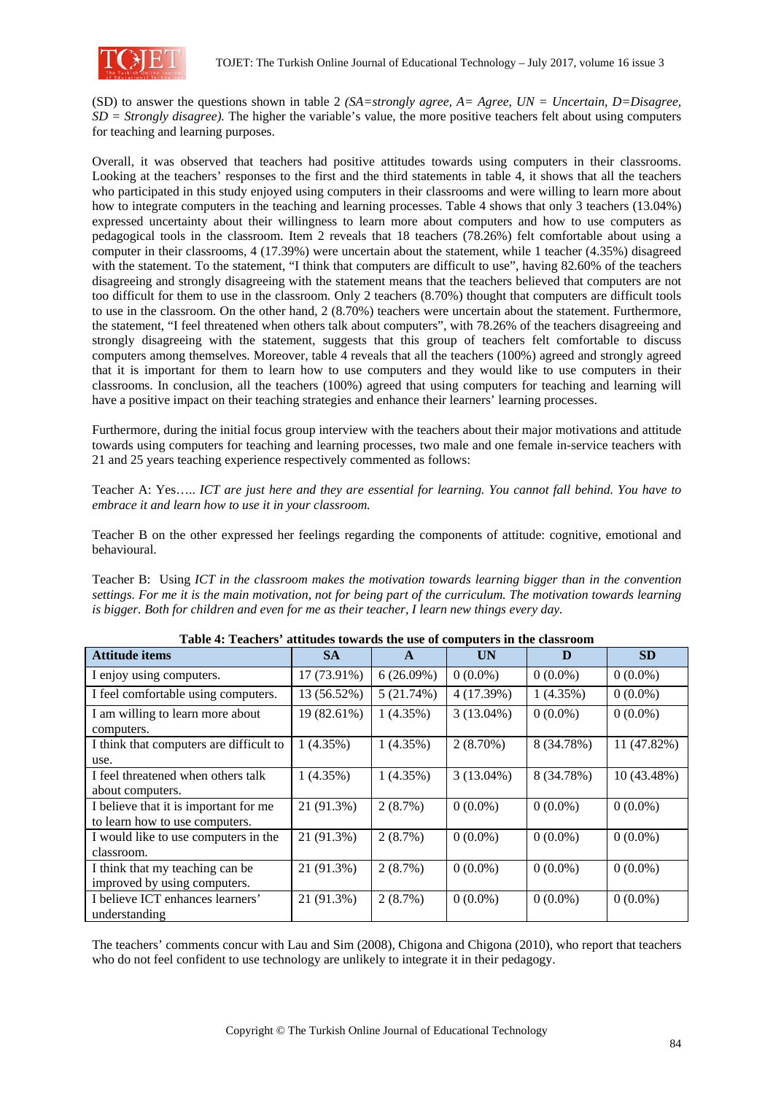

(SD) to answer the questions shown in table 2 *(SA=strongly agree, A= Agree, UN = Uncertain, D=Disagree, SD = Strongly disagree).* The higher the variable's value, the more positive teachers felt about using computers for teaching and learning purposes.

Overall, it was observed that teachers had positive attitudes towards using computers in their classrooms. Looking at the teachers' responses to the first and the third statements in table 4, it shows that all the teachers who participated in this study enjoyed using computers in their classrooms and were willing to learn more about how to integrate computers in the teaching and learning processes. Table 4 shows that only 3 teachers (13.04%) expressed uncertainty about their willingness to learn more about computers and how to use computers as pedagogical tools in the classroom. Item 2 reveals that 18 teachers (78.26%) felt comfortable about using a computer in their classrooms, 4 (17.39%) were uncertain about the statement, while 1 teacher (4.35%) disagreed with the statement. To the statement, "I think that computers are difficult to use", having 82.60% of the teachers disagreeing and strongly disagreeing with the statement means that the teachers believed that computers are not too difficult for them to use in the classroom. Only 2 teachers (8.70%) thought that computers are difficult tools to use in the classroom. On the other hand, 2 (8.70%) teachers were uncertain about the statement. Furthermore, the statement, "I feel threatened when others talk about computers", with 78.26% of the teachers disagreeing and strongly disagreeing with the statement, suggests that this group of teachers felt comfortable to discuss computers among themselves. Moreover, table 4 reveals that all the teachers (100%) agreed and strongly agreed that it is important for them to learn how to use computers and they would like to use computers in their classrooms. In conclusion, all the teachers (100%) agreed that using computers for teaching and learning will have a positive impact on their teaching strategies and enhance their learners' learning processes.

Furthermore, during the initial focus group interview with the teachers about their major motivations and attitude towards using computers for teaching and learning processes, two male and one female in-service teachers with 21 and 25 years teaching experience respectively commented as follows:

Teacher A: Yes….. *ICT are just here and they are essential for learning. You cannot fall behind. You have to embrace it and learn how to use it in your classroom.* 

Teacher B on the other expressed her feelings regarding the components of attitude: cognitive, emotional and behavioural.

Teacher B: Using *ICT in the classroom makes the motivation towards learning bigger than in the convention settings. For me it is the main motivation, not for being part of the curriculum. The motivation towards learning is bigger. Both for children and even for me as their teacher, I learn new things every day.* 

| Table 7. Teachers' attitudes towards the use of computers in the classroom |             |              |              |            |             |
|----------------------------------------------------------------------------|-------------|--------------|--------------|------------|-------------|
| <b>Attitude items</b>                                                      | <b>SA</b>   | $\mathbf{A}$ | UN           | D          | <b>SD</b>   |
| I enjoy using computers.                                                   | 17 (73.91%) | 6(26.09%)    | $0(0.0\%)$   | $0(0.0\%)$ | $0(0.0\%)$  |
| I feel comfortable using computers.                                        | 13 (56.52%) | 5(21.74%)    | 4 (17.39%)   | 1(4.35%)   | $0(0.0\%)$  |
| I am willing to learn more about<br>computers.                             | 19 (82.61%) | 1(4.35%)     | $3(13.04\%)$ | $0(0.0\%)$ | $0(0.0\%)$  |
| I think that computers are difficult to<br>use.                            | 1(4.35%)    | 1(4.35%)     | $2(8.70\%)$  | 8 (34.78%) | 11 (47.82%) |
| I feel threatened when others talk<br>about computers.                     | 1(4.35%)    | 1(4.35%)     | $3(13.04\%)$ | 8 (34.78%) | 10 (43.48%) |
| I believe that it is important for me<br>to learn how to use computers.    | 21 (91.3%)  | 2(8.7%)      | $0(0.0\%)$   | $0(0.0\%)$ | $0(0.0\%)$  |
| I would like to use computers in the<br>classroom.                         | 21 (91.3%)  | 2(8.7%)      | $0(0.0\%)$   | $0(0.0\%)$ | $0(0.0\%)$  |
| I think that my teaching can be<br>improved by using computers.            | 21 (91.3%)  | 2(8.7%)      | $0(0.0\%)$   | $0(0.0\%)$ | $0(0.0\%)$  |
| I believe ICT enhances learners'<br>understanding                          | 21 (91.3%)  | 2(8.7%)      | $0(0.0\%)$   | $0(0.0\%)$ | $0(0.0\%)$  |

**Table 4: Teachers' attitudes towards the use of computers in the classroom** 

The teachers' comments concur with Lau and Sim (2008), Chigona and Chigona (2010), who report that teachers who do not feel confident to use technology are unlikely to integrate it in their pedagogy.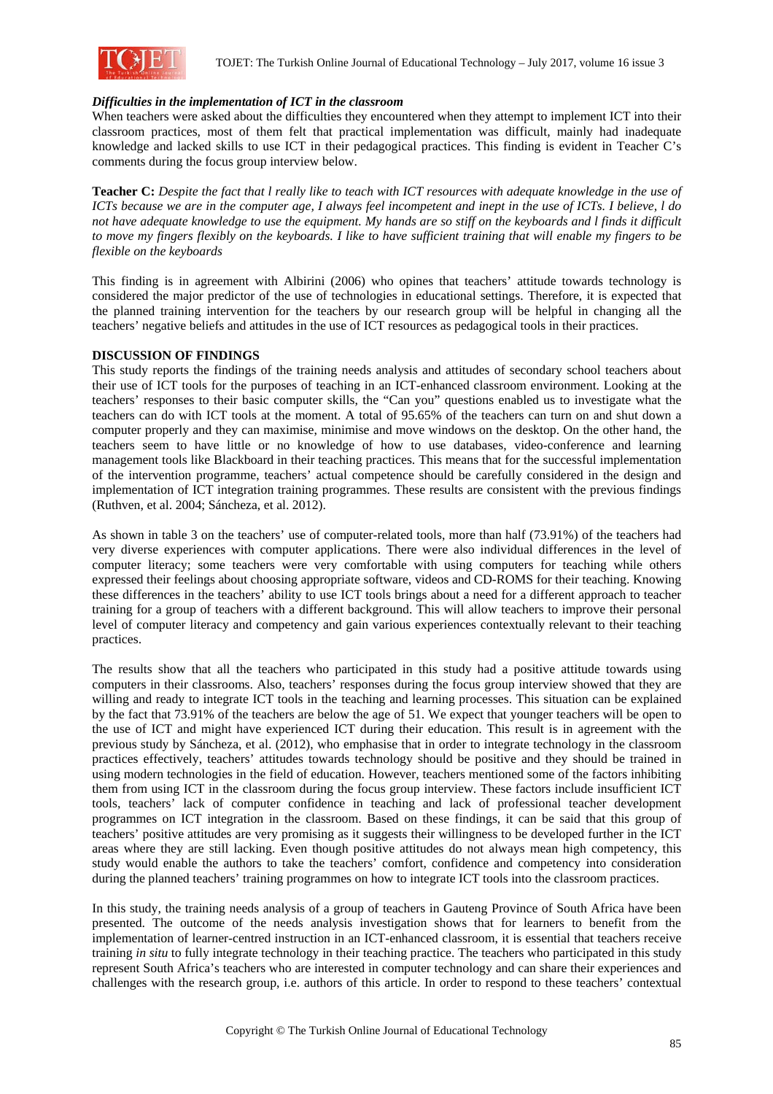

# *Difficulties in the implementation of ICT in the classroom*

When teachers were asked about the difficulties they encountered when they attempt to implement ICT into their classroom practices, most of them felt that practical implementation was difficult, mainly had inadequate knowledge and lacked skills to use ICT in their pedagogical practices. This finding is evident in Teacher C's comments during the focus group interview below.

**Teacher C:** *Despite the fact that l really like to teach with ICT resources with adequate knowledge in the use of ICTs because we are in the computer age, I always feel incompetent and inept in the use of ICTs. I believe, l do not have adequate knowledge to use the equipment. My hands are so stiff on the keyboards and l finds it difficult to move my fingers flexibly on the keyboards. I like to have sufficient training that will enable my fingers to be flexible on the keyboards*

This finding is in agreement with Albirini (2006) who opines that teachers' attitude towards technology is considered the major predictor of the use of technologies in educational settings. Therefore, it is expected that the planned training intervention for the teachers by our research group will be helpful in changing all the teachers' negative beliefs and attitudes in the use of ICT resources as pedagogical tools in their practices.

#### **DISCUSSION OF FINDINGS**

This study reports the findings of the training needs analysis and attitudes of secondary school teachers about their use of ICT tools for the purposes of teaching in an ICT-enhanced classroom environment. Looking at the teachers' responses to their basic computer skills, the "Can you" questions enabled us to investigate what the teachers can do with ICT tools at the moment. A total of 95.65% of the teachers can turn on and shut down a computer properly and they can maximise, minimise and move windows on the desktop. On the other hand, the teachers seem to have little or no knowledge of how to use databases, video-conference and learning management tools like Blackboard in their teaching practices. This means that for the successful implementation of the intervention programme, teachers' actual competence should be carefully considered in the design and implementation of ICT integration training programmes. These results are consistent with the previous findings (Ruthven, et al. 2004; Sáncheza, et al. 2012).

As shown in table 3 on the teachers' use of computer-related tools, more than half (73.91%) of the teachers had very diverse experiences with computer applications. There were also individual differences in the level of computer literacy; some teachers were very comfortable with using computers for teaching while others expressed their feelings about choosing appropriate software, videos and CD-ROMS for their teaching. Knowing these differences in the teachers' ability to use ICT tools brings about a need for a different approach to teacher training for a group of teachers with a different background. This will allow teachers to improve their personal level of computer literacy and competency and gain various experiences contextually relevant to their teaching practices.

The results show that all the teachers who participated in this study had a positive attitude towards using computers in their classrooms. Also, teachers' responses during the focus group interview showed that they are willing and ready to integrate ICT tools in the teaching and learning processes. This situation can be explained by the fact that 73.91% of the teachers are below the age of 51. We expect that younger teachers will be open to the use of ICT and might have experienced ICT during their education. This result is in agreement with the previous study by Sáncheza, et al. (2012), who emphasise that in order to integrate technology in the classroom practices effectively, teachers' attitudes towards technology should be positive and they should be trained in using modern technologies in the field of education. However, teachers mentioned some of the factors inhibiting them from using ICT in the classroom during the focus group interview. These factors include insufficient ICT tools, teachers' lack of computer confidence in teaching and lack of professional teacher development programmes on ICT integration in the classroom. Based on these findings, it can be said that this group of teachers' positive attitudes are very promising as it suggests their willingness to be developed further in the ICT areas where they are still lacking. Even though positive attitudes do not always mean high competency, this study would enable the authors to take the teachers' comfort, confidence and competency into consideration during the planned teachers' training programmes on how to integrate ICT tools into the classroom practices.

In this study, the training needs analysis of a group of teachers in Gauteng Province of South Africa have been presented. The outcome of the needs analysis investigation shows that for learners to benefit from the implementation of learner-centred instruction in an ICT-enhanced classroom, it is essential that teachers receive training *in situ* to fully integrate technology in their teaching practice. The teachers who participated in this study represent South Africa's teachers who are interested in computer technology and can share their experiences and challenges with the research group, i.e. authors of this article. In order to respond to these teachers' contextual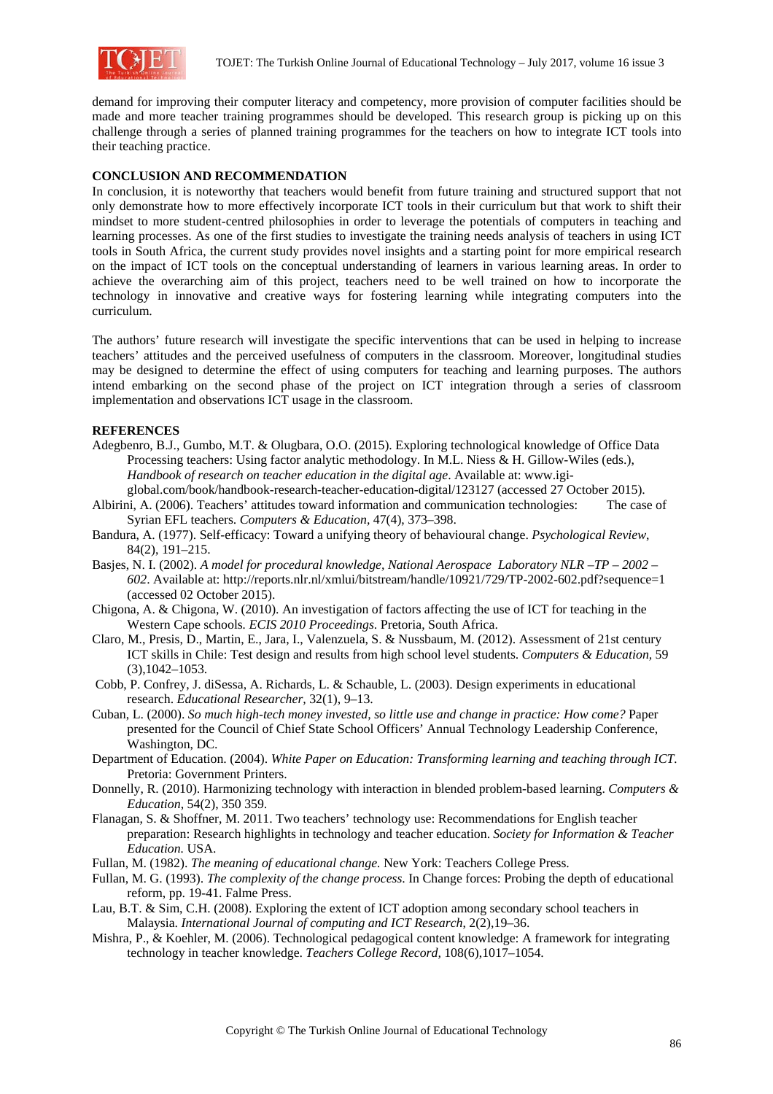

demand for improving their computer literacy and competency, more provision of computer facilities should be made and more teacher training programmes should be developed. This research group is picking up on this challenge through a series of planned training programmes for the teachers on how to integrate ICT tools into their teaching practice.

### **CONCLUSION AND RECOMMENDATION**

In conclusion, it is noteworthy that teachers would benefit from future training and structured support that not only demonstrate how to more effectively incorporate ICT tools in their curriculum but that work to shift their mindset to more student-centred philosophies in order to leverage the potentials of computers in teaching and learning processes. As one of the first studies to investigate the training needs analysis of teachers in using ICT tools in South Africa, the current study provides novel insights and a starting point for more empirical research on the impact of ICT tools on the conceptual understanding of learners in various learning areas. In order to achieve the overarching aim of this project, teachers need to be well trained on how to incorporate the technology in innovative and creative ways for fostering learning while integrating computers into the curriculum.

The authors' future research will investigate the specific interventions that can be used in helping to increase teachers' attitudes and the perceived usefulness of computers in the classroom. Moreover, longitudinal studies may be designed to determine the effect of using computers for teaching and learning purposes. The authors intend embarking on the second phase of the project on ICT integration through a series of classroom implementation and observations ICT usage in the classroom.

#### **REFERENCES**

- Adegbenro, B.J., Gumbo, M.T. & Olugbara, O.O. (2015). Exploring technological knowledge of Office Data Processing teachers: Using factor analytic methodology. In M.L. Niess & H. Gillow-Wiles (eds.), *Handbook of research on teacher education in the digital age*. Available at: www.igiglobal.com/book/handbook-research-teacher-education-digital/123127 (accessed 27 October 2015).
- Albirini, A. (2006). Teachers' attitudes toward information and communication technologies: The case of Syrian EFL teachers. *Computers & Education,* 47(4), 373–398.
- Bandura, A. (1977). Self-efficacy: Toward a unifying theory of behavioural change. *Psychological Review*, 84(2), 191–215.
- Basjes, N. I. (2002). *A model for procedural knowledge, National Aerospace Laboratory NLR –TP 2002 602*. Available at: http://reports.nlr.nl/xmlui/bitstream/handle/10921/729/TP-2002-602.pdf?sequence=1 (accessed 02 October 2015).
- Chigona, A. & Chigona, W. (2010). An investigation of factors affecting the use of ICT for teaching in the Western Cape schools*. ECIS 2010 Proceedings*. Pretoria, South Africa.
- Claro, M., Presis, D., Martin, E., Jara, I., Valenzuela, S. & Nussbaum, M. (2012). Assessment of 21st century ICT skills in Chile: Test design and results from high school level students. *Computers & Education,* 59 (3),1042–1053.
- Cobb, P. Confrey, J. diSessa, A. Richards, L. & Schauble, L. (2003). Design experiments in educational research. *Educational Researcher,* 32(1), 9–13.
- Cuban, L. (2000). *So much high-tech money invested, so little use and change in practice: How come?* Paper presented for the Council of Chief State School Officers' Annual Technology Leadership Conference, Washington, DC.
- Department of Education. (2004). *White Paper on Education: Transforming learning and teaching through ICT.* Pretoria: Government Printers.
- Donnelly, R. (2010). Harmonizing technology with interaction in blended problem-based learning. *Computers & Education*, 54(2), 350 359.
- Flanagan, S. & Shoffner, M. 2011. Two teachers' technology use: Recommendations for English teacher preparation: Research highlights in technology and teacher education. *Society for Information & Teacher Education.* USA.
- Fullan, M. (1982). *The meaning of educational change.* New York: Teachers College Press.
- Fullan, M. G. (1993). *The complexity of the change process*. In Change forces: Probing the depth of educational reform, pp. 19-41. Falme Press.
- Lau, B.T. & Sim, C.H. (2008). Exploring the extent of ICT adoption among secondary school teachers in Malaysia. *International Journal of computing and ICT Research*, 2(2),19–36.
- Mishra, P., & Koehler, M. (2006). Technological pedagogical content knowledge: A framework for integrating technology in teacher knowledge. *Teachers College Record,* 108(6),1017–1054.